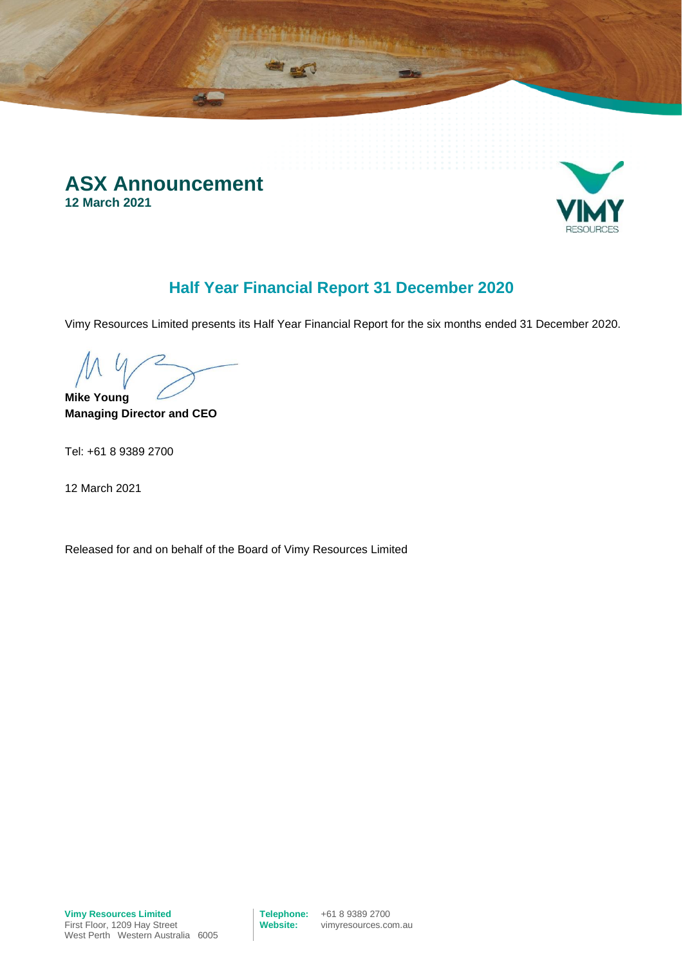



# **Half Year Financial Report 31 December 2020**

Vimy Resources Limited presents its Half Year Financial Report for the six months ended 31 December 2020.

**Mike Young**

**Managing Director and CEO** 

Tel: +61 8 9389 2700

12 March 2021

Released for and on behalf of the Board of Vimy Resources Limited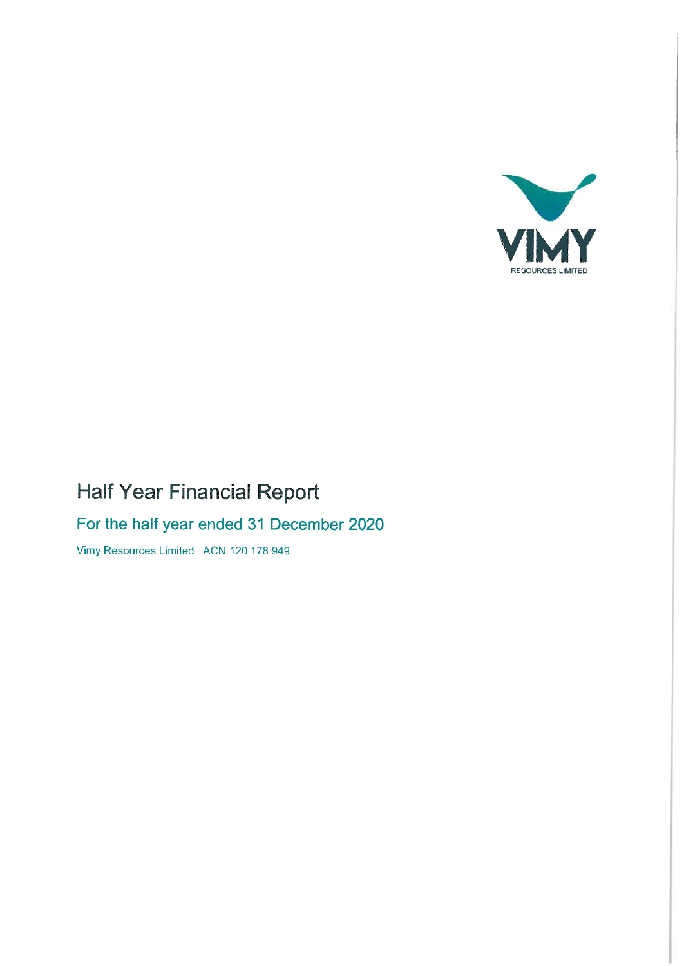

# Half Year Financial Report

# For the half year ended 31 December 2020

Vimy Resources Limited ACN 120 178 949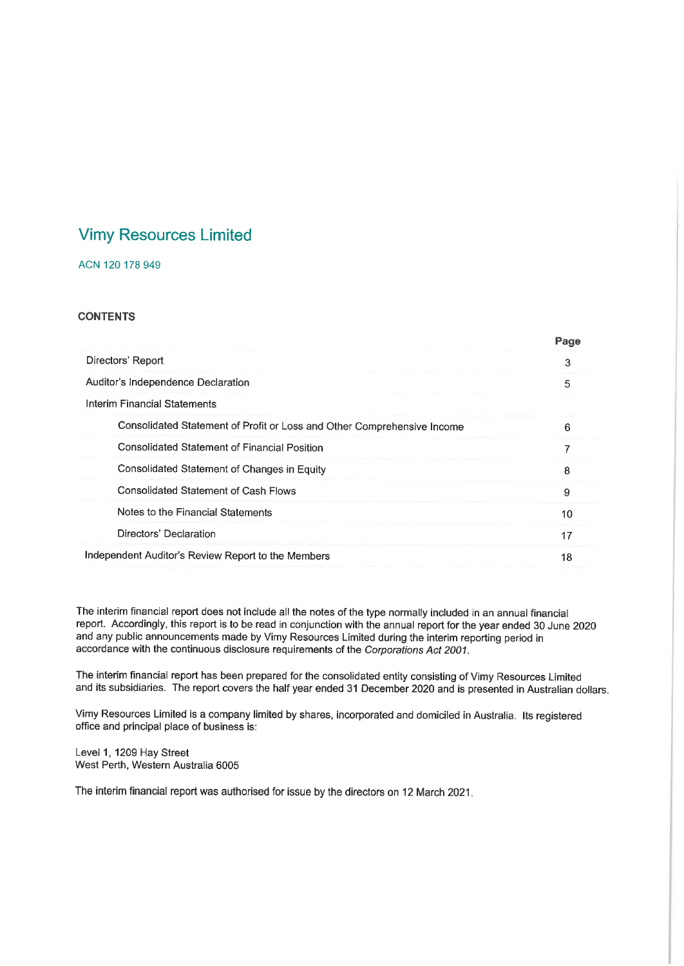# **Vimy Resources Limited**

### ACN 120 178 949

### **CONTENTS**

|                                                                         | Page |
|-------------------------------------------------------------------------|------|
| Directors' Report                                                       | 3    |
| Auditor's Independence Declaration                                      | 5    |
| Interim Financial Statements                                            |      |
| Consolidated Statement of Profit or Loss and Other Comprehensive Income | 6    |
| Consolidated Statement of Financial Position                            | 7    |
| Consolidated Statement of Changes in Equity                             | 8    |
| <b>Consolidated Statement of Cash Flows</b>                             | 9    |
| Notes to the Financial Statements                                       | 10   |
| Directors' Declaration                                                  | 17   |
| Independent Auditor's Review Report to the Members                      | 18   |

The interim financial report does not include all the notes of the type normally included in an annual financial report. Accordingly, this report is to be read in conjunction with the annual report for the year ended 30 June 2020 and any public announcements made by Vimy Resources Limited during the interim reporting period in accordance with the continuous disclosure requirements of the Corporations Act 2001.

The interim financial report has been prepared for the consolidated entity consisting of Vimy Resources Limited and its subsidiaries. The report covers the half year ended 31 December 2020 and is presented in Australian dollars.

Vimy Resources Limited is a company limited by shares, incorporated and domiciled in Australia. Its registered office and principal place of business is:

Level 1, 1209 Hay Street West Perth, Western Australia 6005

The interim financial report was authorised for issue by the directors on 12 March 2021.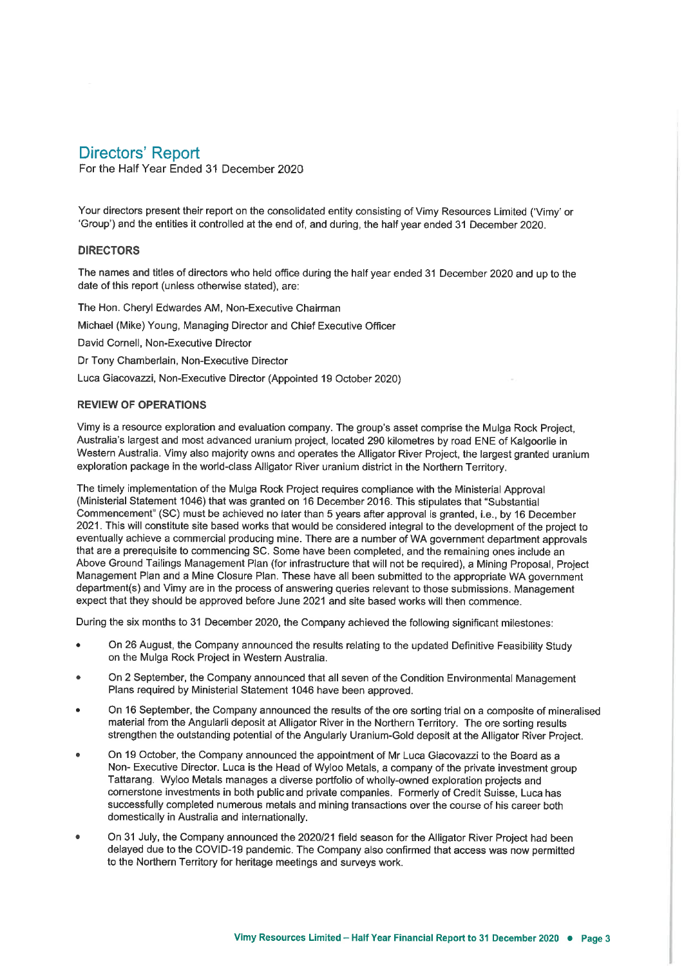## **Directors' Report**

For the Half Year Ended 31 December 2020

Your directors present their report on the consolidated entity consisting of Vimy Resources Limited ('Vimy' or 'Group') and the entities it controlled at the end of, and during, the half year ended 31 December 2020.

### **DIRECTORS**

The names and titles of directors who held office during the half year ended 31 December 2020 and up to the date of this report (unless otherwise stated), are:

The Hon. Cheryl Edwardes AM, Non-Executive Chairman Michael (Mike) Young, Managing Director and Chief Executive Officer David Cornell, Non-Executive Director Dr Tony Chamberlain, Non-Executive Director Luca Giacovazzi, Non-Executive Director (Appointed 19 October 2020)

#### **REVIEW OF OPERATIONS**

Vimy is a resource exploration and evaluation company. The group's asset comprise the Mulga Rock Project, Australia's largest and most advanced uranium project, located 290 kilometres by road ENE of Kalgoorlie in Western Australia. Vimy also majority owns and operates the Alligator River Project, the largest granted uranium exploration package in the world-class Alligator River uranium district in the Northern Territory.

The timely implementation of the Mulga Rock Project requires compliance with the Ministerial Approval (Ministerial Statement 1046) that was granted on 16 December 2016. This stipulates that "Substantial Commencement" (SC) must be achieved no later than 5 years after approval is granted, i.e., by 16 December 2021. This will constitute site based works that would be considered integral to the development of the project to eventually achieve a commercial producing mine. There are a number of WA government department approvals that are a prerequisite to commencing SC. Some have been completed, and the remaining ones include an Above Ground Tailings Management Plan (for infrastructure that will not be required), a Mining Proposal. Project Management Plan and a Mine Closure Plan. These have all been submitted to the appropriate WA government department(s) and Vimy are in the process of answering queries relevant to those submissions. Management expect that they should be approved before June 2021 and site based works will then commence.

During the six months to 31 December 2020, the Company achieved the following significant milestones:

- On 26 August, the Company announced the results relating to the updated Definitive Feasibility Study on the Mulga Rock Project in Western Australia.
- On 2 September, the Company announced that all seven of the Condition Environmental Management Plans required by Ministerial Statement 1046 have been approved.
- On 16 September, the Company announced the results of the ore sorting trial on a composite of mineralised material from the Angularli deposit at Alligator River in the Northern Territory. The ore sorting results strengthen the outstanding potential of the Angularly Uranium-Gold deposit at the Alligator River Project.
- On 19 October, the Company announced the appointment of Mr Luca Giacovazzi to the Board as a Non-Executive Director. Luca is the Head of Wyloo Metals, a company of the private investment group Tattarang. Wyloo Metals manages a diverse portfolio of wholly-owned exploration projects and cornerstone investments in both public and private companies. Formerly of Credit Suisse, Luca has successfully completed numerous metals and mining transactions over the course of his career both domestically in Australia and internationally.
- On 31 July, the Company announced the 2020/21 field season for the Alligator River Project had been delayed due to the COVID-19 pandemic. The Company also confirmed that access was now permitted to the Northern Territory for heritage meetings and surveys work.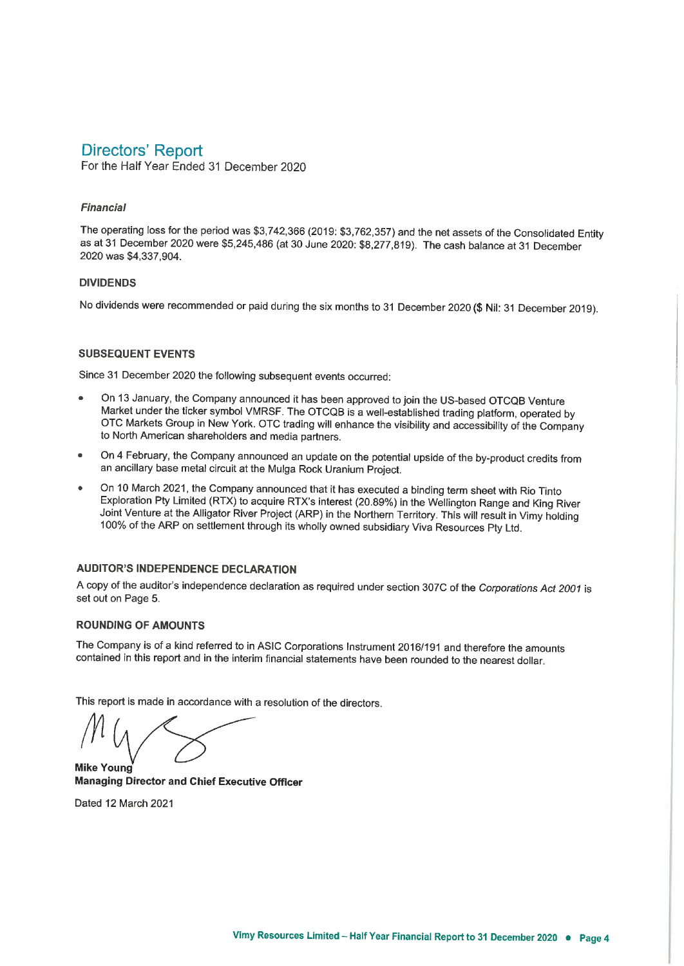# **Directors' Report**

For the Half Year Ended 31 December 2020

### **Financial**

The operating loss for the period was \$3,742,366 (2019: \$3,762,357) and the net assets of the Consolidated Entity as at 31 December 2020 were \$5,245,486 (at 30 June 2020: \$8,277,819). The cash balance at 31 December 2020 was \$4,337,904.

### **DIVIDENDS**

No dividends were recommended or paid during the six months to 31 December 2020 (\$ Nil: 31 December 2019).

### **SUBSEQUENT EVENTS**

Since 31 December 2020 the following subsequent events occurred:

- On 13 January, the Company announced it has been approved to join the US-based OTCQB Venture Market under the ticker symbol VMRSF. The OTCQB is a well-established trading platform, operated by OTC Markets Group in New York. OTC trading will enhance the visibility and accessibility of the Company to North American shareholders and media partners.
- On 4 February, the Company announced an update on the potential upside of the by-product credits from an ancillary base metal circuit at the Mulga Rock Uranium Project.
- On 10 March 2021, the Company announced that it has executed a binding term sheet with Rio Tinto Exploration Pty Limited (RTX) to acquire RTX's interest (20.89%) in the Wellington Range and King River Joint Venture at the Alligator River Project (ARP) in the Northern Territory. This will result in Vimy holding 100% of the ARP on settlement through its wholly owned subsidiary Viva Resources Pty Ltd.

### **AUDITOR'S INDEPENDENCE DECLARATION**

A copy of the auditor's independence declaration as required under section 307C of the Corporations Act 2001 is set out on Page 5.

### **ROUNDING OF AMOUNTS**

The Company is of a kind referred to in ASIC Corporations Instrument 2016/191 and therefore the amounts contained in this report and in the interim financial statements have been rounded to the nearest dollar.

This report is made in accordance with a resolution of the directors.

**Mike Young Managing Director and Chief Executive Officer** 

Dated 12 March 2021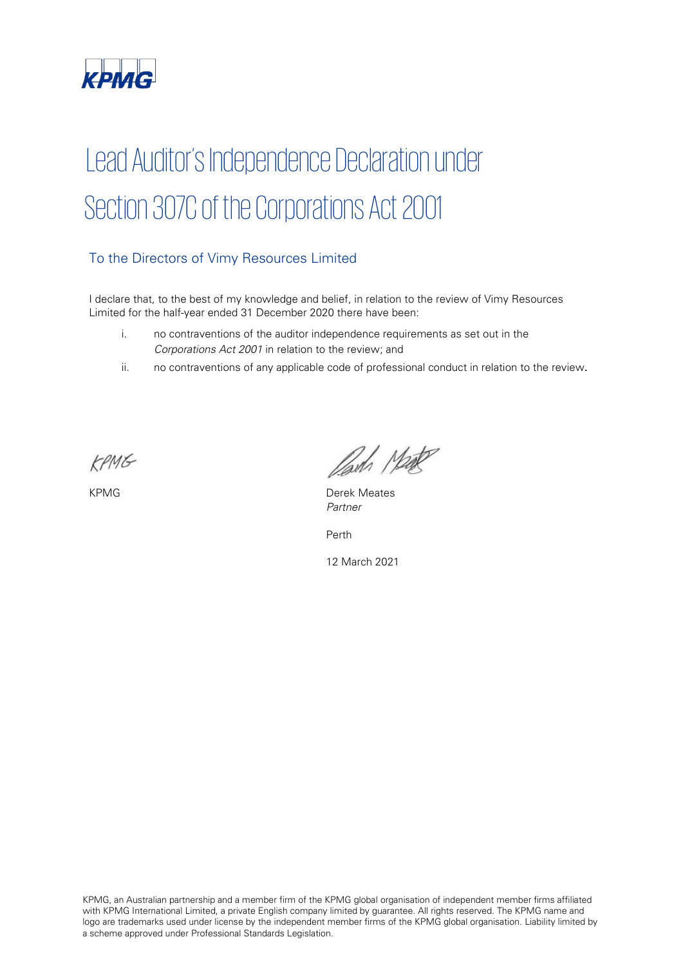

# Lead Auditor's Independence Declaration under Section 307C of the Corporations Act 2001

## To the Directors of Vimy Resources Limited

I declare that, to the best of my knowledge and belief, in relation to the review of Vimy Resources Limited for the half-year ended 31 December 2020 there have been:

- i. no contraventions of the auditor independence requirements as set out in the Corporations Act 2001 in relation to the review; and
- ii. no contraventions of any applicable code of professional conduct in relation to the review.

KPMG

Parts Made

KPMG **Derek Meates** Partner

Perth

12 March 2021

KPMG, an Australian partnership and a member firm of the KPMG global organisation of independent member firms affiliated with KPMG International Limited, a private English company limited by guarantee. All rights reserved. The KPMG name and logo are trademarks used under license by the independent member firms of the KPMG global organisation. Liability limited by a scheme approved under Professional Standards Legislation.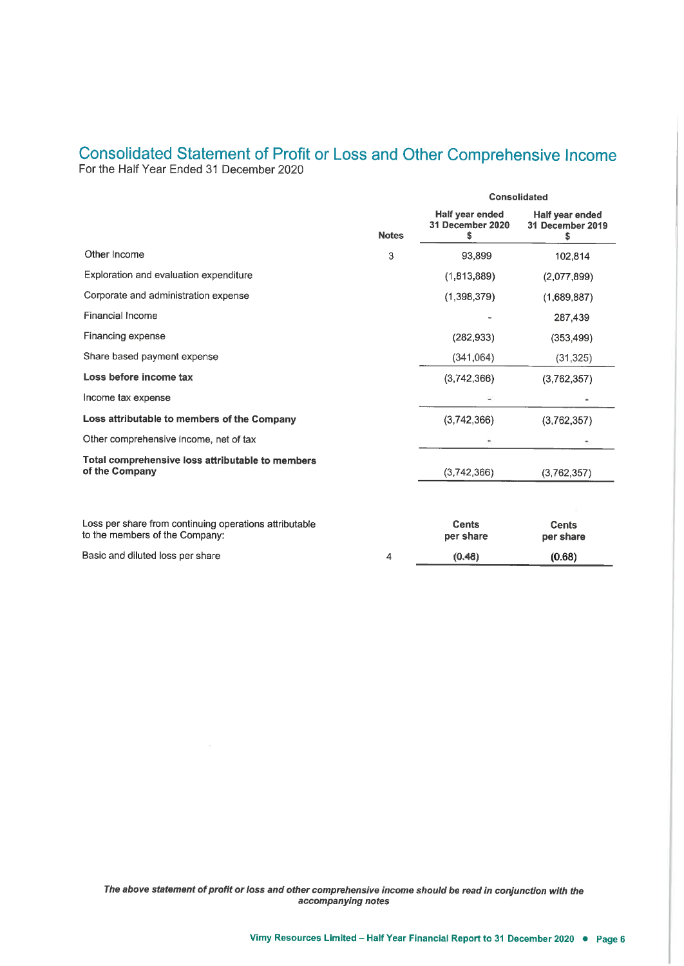# Consolidated Statement of Profit or Loss and Other Comprehensive Income For the Half Year Ended 31 December 2020

|                                                                                          |              | <b>Consolidated</b>                       |                                          |  |
|------------------------------------------------------------------------------------------|--------------|-------------------------------------------|------------------------------------------|--|
|                                                                                          | <b>Notes</b> | Half year ended<br>31 December 2020<br>\$ | Half year ended<br>31 December 2019<br>s |  |
| Other Income                                                                             | 3            | 93.899                                    | 102,814                                  |  |
| Exploration and evaluation expenditure                                                   |              | (1,813,889)                               | (2,077,899)                              |  |
| Corporate and administration expense                                                     |              | (1,398,379)                               | (1,689,887)                              |  |
| Financial Income                                                                         |              |                                           | 287,439                                  |  |
| Financing expense                                                                        |              | (282, 933)                                | (353, 499)                               |  |
| Share based payment expense                                                              |              | (341, 064)                                | (31, 325)                                |  |
| Loss before income tax                                                                   |              | (3,742,366)                               | (3,762,357)                              |  |
| Income tax expense                                                                       |              |                                           |                                          |  |
| Loss attributable to members of the Company                                              |              | (3,742,366)                               | (3,762,357)                              |  |
| Other comprehensive income, net of tax                                                   |              |                                           |                                          |  |
| Total comprehensive loss attributable to members<br>of the Company                       |              | (3,742,366)                               | (3,762,357)                              |  |
| Loss per share from continuing operations attributable<br>to the members of the Company: |              | Cents<br>per share                        | <b>Cents</b><br>per share                |  |
| Basic and diluted loss per share                                                         | 4            | (0.48)                                    | (0.68)                                   |  |

The above statement of profit or loss and other comprehensive income should be read in conjunction with the accompanying notes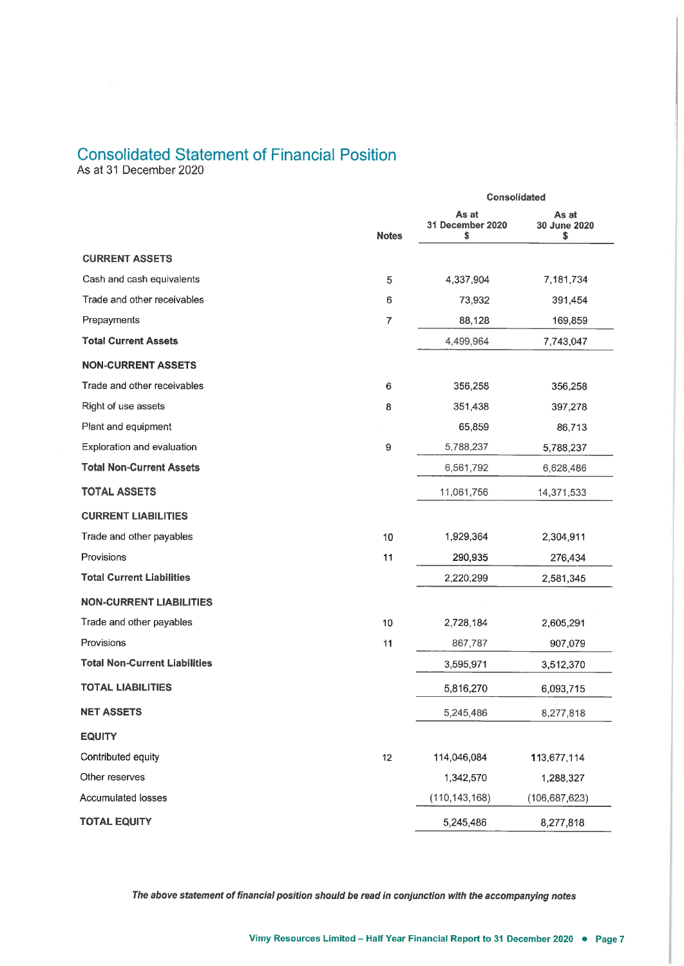# **Consolidated Statement of Financial Position**

As at 31 December 2020

|                                      |                | Consolidated                    |                             |  |
|--------------------------------------|----------------|---------------------------------|-----------------------------|--|
|                                      | <b>Notes</b>   | As at<br>31 December 2020<br>\$ | As at<br>30 June 2020<br>\$ |  |
| <b>CURRENT ASSETS</b>                |                |                                 |                             |  |
| Cash and cash equivalents            | 5              | 4,337,904                       | 7,181,734                   |  |
| Trade and other receivables          | 6              | 73,932                          | 391,454                     |  |
| Prepayments                          | $\overline{7}$ | 88,128                          | 169,859                     |  |
| <b>Total Current Assets</b>          |                | 4,499,964                       | 7,743,047                   |  |
| <b>NON-CURRENT ASSETS</b>            |                |                                 |                             |  |
| Trade and other receivables          | 6              | 356,258                         | 356,258                     |  |
| Right of use assets                  | 8              | 351,438                         | 397,278                     |  |
| Plant and equipment                  |                | 65,859                          | 86,713                      |  |
| Exploration and evaluation           | 9              | 5,788,237                       | 5,788,237                   |  |
| <b>Total Non-Current Assets</b>      |                | 6,561,792                       | 6,628,486                   |  |
| <b>TOTAL ASSETS</b>                  |                | 11,061,756                      | 14,371,533                  |  |
| <b>CURRENT LIABILITIES</b>           |                |                                 |                             |  |
| Trade and other payables             | 10             | 1,929,364                       | 2,304,911                   |  |
| Provisions                           | 11             | 290,935                         | 276,434                     |  |
| <b>Total Current Liabilities</b>     |                | 2,220,299                       | 2,581,345                   |  |
| <b>NON-CURRENT LIABILITIES</b>       |                |                                 |                             |  |
| Trade and other payables             | 10             | 2,728,184                       | 2,605,291                   |  |
| Provisions                           | 11             | 867,787                         | 907,079                     |  |
| <b>Total Non-Current Liabilities</b> |                | 3,595,971                       | 3,512,370                   |  |
| <b>TOTAL LIABILITIES</b>             |                | 5,816,270                       | 6,093,715                   |  |
| <b>NET ASSETS</b>                    |                | 5,245,486                       | 8,277,818                   |  |
| <b>EQUITY</b>                        |                |                                 |                             |  |
| Contributed equity                   | 12             | 114,046,084                     | 113,677,114                 |  |
| Other reserves                       |                | 1,342,570                       | 1,288,327                   |  |
| <b>Accumulated losses</b>            |                | (110, 143, 168)                 | (106, 687, 623)             |  |
| <b>TOTAL EQUITY</b>                  |                | 5,245,486                       | 8,277,818                   |  |
|                                      |                |                                 |                             |  |

The above statement of financial position should be read in conjunction with the accompanying notes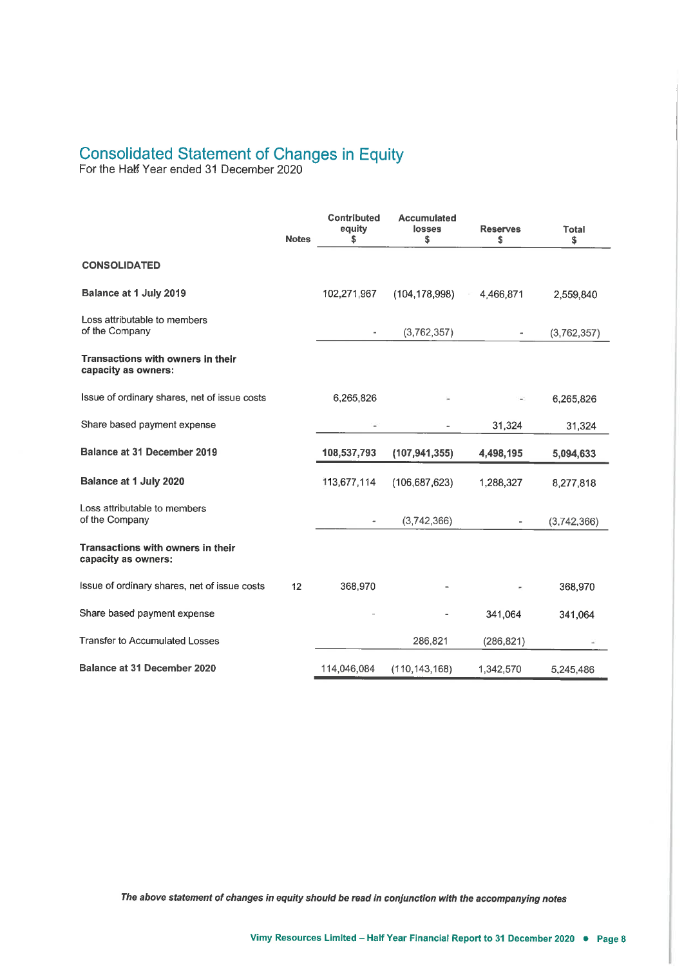# Consolidated Statement of Changes in Equity<br>For the Half Year ended 31 December 2020

|                                                          | <b>Notes</b> | <b>Contributed</b><br>equity<br>s | <b>Accumulated</b><br>losses<br>\$ | <b>Reserves</b><br>\$    | Total<br>\$ |
|----------------------------------------------------------|--------------|-----------------------------------|------------------------------------|--------------------------|-------------|
| <b>CONSOLIDATED</b>                                      |              |                                   |                                    |                          |             |
| Balance at 1 July 2019                                   |              | 102,271,967                       | (104, 178, 998)                    | 4,466,871                | 2,559,840   |
| Loss attributable to members<br>of the Company           |              |                                   | (3,762,357)                        | $\overline{\phantom{a}}$ | (3,762,357) |
| Transactions with owners in their<br>capacity as owners: |              |                                   |                                    |                          |             |
| Issue of ordinary shares, net of issue costs             |              | 6,265,826                         |                                    |                          | 6,265,826   |
| Share based payment expense                              |              | ÷                                 |                                    | 31,324                   | 31,324      |
| <b>Balance at 31 December 2019</b>                       |              | 108,537,793                       | (107, 941, 355)                    | 4,498,195                | 5,094,633   |
| Balance at 1 July 2020                                   |              | 113,677,114                       | (106, 687, 623)                    | 1,288,327                | 8,277,818   |
| Loss attributable to members<br>of the Company           |              |                                   | (3,742,366)                        |                          | (3,742,366) |
| Transactions with owners in their<br>capacity as owners: |              |                                   |                                    |                          |             |
| Issue of ordinary shares, net of issue costs             | 12           | 368,970                           |                                    |                          | 368,970     |
| Share based payment expense                              |              |                                   |                                    | 341,064                  | 341,064     |
| <b>Transfer to Accumulated Losses</b>                    |              |                                   | 286,821                            | (286, 821)               |             |
| <b>Balance at 31 December 2020</b>                       |              | 114,046,084                       | (110, 143, 168)                    | 1,342,570                | 5,245,486   |

The above statement of changes in equity should be read in conjunction with the accompanying notes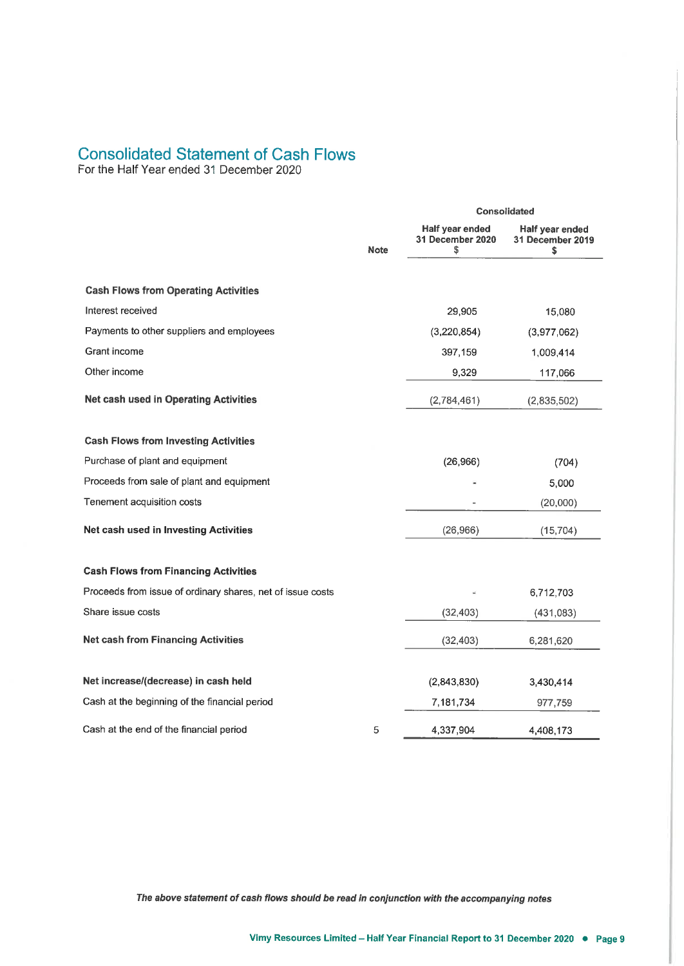# **Consolidated Statement of Cash Flows**

For the Half Year ended 31 December 2020

|                                                            |             | Consolidated                              |                                           |  |
|------------------------------------------------------------|-------------|-------------------------------------------|-------------------------------------------|--|
|                                                            | <b>Note</b> | Half year ended<br>31 December 2020<br>\$ | Half year ended<br>31 December 2019<br>\$ |  |
| <b>Cash Flows from Operating Activities</b>                |             |                                           |                                           |  |
| Interest received                                          |             | 29,905                                    | 15,080                                    |  |
| Payments to other suppliers and employees                  |             | (3,220,854)                               | (3,977,062)                               |  |
| Grant income                                               |             | 397,159                                   | 1,009,414                                 |  |
| Other income                                               |             | 9,329                                     | 117,066                                   |  |
| Net cash used in Operating Activities                      |             | (2,784,461)                               | (2,835,502)                               |  |
| <b>Cash Flows from Investing Activities</b>                |             |                                           |                                           |  |
| Purchase of plant and equipment                            |             | (26,966)                                  | (704)                                     |  |
| Proceeds from sale of plant and equipment                  |             |                                           | 5,000                                     |  |
| Tenement acquisition costs                                 |             |                                           | (20,000)                                  |  |
| Net cash used in Investing Activities                      |             | (26,966)                                  | (15, 704)                                 |  |
| <b>Cash Flows from Financing Activities</b>                |             |                                           |                                           |  |
| Proceeds from issue of ordinary shares, net of issue costs |             |                                           | 6,712,703                                 |  |
| Share issue costs                                          |             | (32, 403)                                 | (431, 083)                                |  |
| <b>Net cash from Financing Activities</b>                  |             | (32, 403)                                 | 6,281,620                                 |  |
| Net increase/(decrease) in cash held                       |             | (2,843,830)                               | 3,430,414                                 |  |
| Cash at the beginning of the financial period              |             | 7,181,734                                 | 977,759                                   |  |
| Cash at the end of the financial period                    | 5           | 4,337,904                                 | 4,408,173                                 |  |

The above statement of cash flows should be read in conjunction with the accompanying notes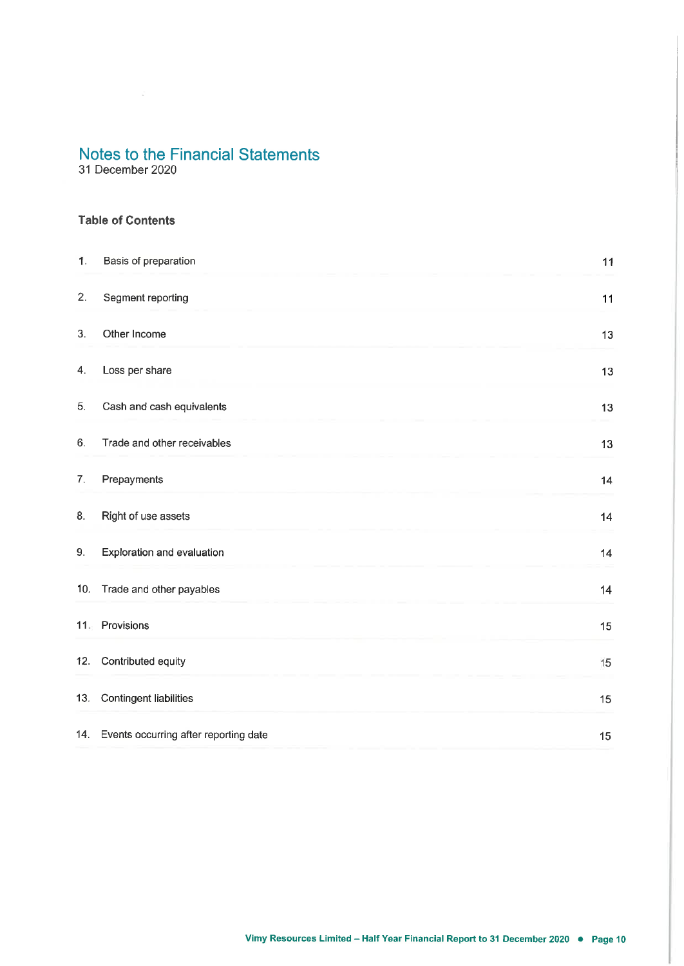31 December 2020

### **Table of Contents**

| 1.  | Basis of preparation                  | 11 |
|-----|---------------------------------------|----|
| 2.  | Segment reporting                     | 11 |
| 3.  | Other Income                          | 13 |
| 4.  | Loss per share                        | 13 |
| 5.  | Cash and cash equivalents             | 13 |
| 6.  | Trade and other receivables           | 13 |
| 7.  | Prepayments                           | 14 |
| 8.  | Right of use assets                   | 14 |
| 9.  | Exploration and evaluation            | 14 |
| 10. | Trade and other payables              | 14 |
|     | 11. Provisions                        | 15 |
| 12. | Contributed equity                    | 15 |
| 13. | <b>Contingent liabilities</b>         | 15 |
| 14. | Events occurring after reporting date | 15 |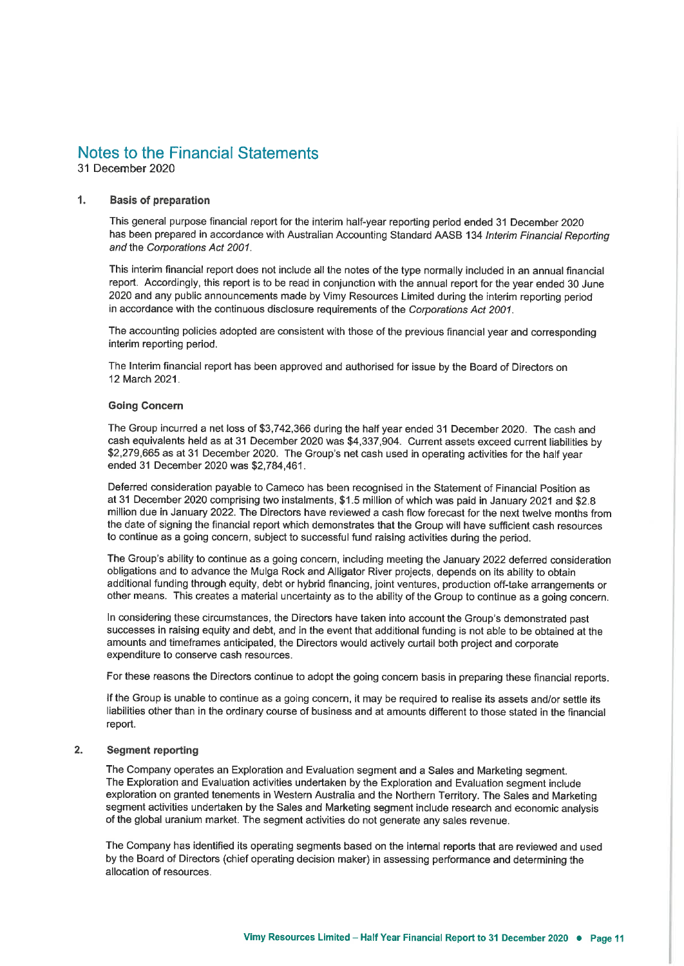31 December 2020

#### $\mathbf{1}$ **Basis of preparation**

This general purpose financial report for the interim half-year reporting period ended 31 December 2020 has been prepared in accordance with Australian Accounting Standard AASB 134 Interim Financial Reporting and the Corporations Act 2001.

This interim financial report does not include all the notes of the type normally included in an annual financial report. Accordingly, this report is to be read in conjunction with the annual report for the year ended 30 June 2020 and any public announcements made by Vimy Resources Limited during the interim reporting period in accordance with the continuous disclosure requirements of the Corporations Act 2001.

The accounting policies adopted are consistent with those of the previous financial year and corresponding interim reporting period.

The Interim financial report has been approved and authorised for issue by the Board of Directors on 12 March 2021.

#### **Going Concern**

The Group incurred a net loss of \$3,742,366 during the half year ended 31 December 2020. The cash and cash equivalents held as at 31 December 2020 was \$4,337,904. Current assets exceed current liabilities by \$2,279,665 as at 31 December 2020. The Group's net cash used in operating activities for the half year ended 31 December 2020 was \$2,784,461.

Deferred consideration payable to Cameco has been recognised in the Statement of Financial Position as at 31 December 2020 comprising two instalments, \$1.5 million of which was paid in January 2021 and \$2.8 million due in January 2022. The Directors have reviewed a cash flow forecast for the next twelve months from the date of signing the financial report which demonstrates that the Group will have sufficient cash resources to continue as a going concern, subject to successful fund raising activities during the period.

The Group's ability to continue as a going concern, including meeting the January 2022 deferred consideration obligations and to advance the Mulga Rock and Alligator River projects, depends on its ability to obtain additional funding through equity, debt or hybrid financing, joint ventures, production off-take arrangements or other means. This creates a material uncertainty as to the ability of the Group to continue as a going concern.

In considering these circumstances, the Directors have taken into account the Group's demonstrated past successes in raising equity and debt, and in the event that additional funding is not able to be obtained at the amounts and timeframes anticipated, the Directors would actively curtail both project and corporate expenditure to conserve cash resources.

For these reasons the Directors continue to adopt the going concern basis in preparing these financial reports.

If the Group is unable to continue as a going concern, it may be required to realise its assets and/or settle its liabilities other than in the ordinary course of business and at amounts different to those stated in the financial report.

#### $2.$ **Segment reporting**

The Company operates an Exploration and Evaluation segment and a Sales and Marketing segment. The Exploration and Evaluation activities undertaken by the Exploration and Evaluation segment include exploration on granted tenements in Western Australia and the Northern Territory. The Sales and Marketing segment activities undertaken by the Sales and Marketing segment include research and economic analysis of the global uranium market. The segment activities do not generate any sales revenue.

The Company has identified its operating segments based on the internal reports that are reviewed and used by the Board of Directors (chief operating decision maker) in assessing performance and determining the allocation of resources.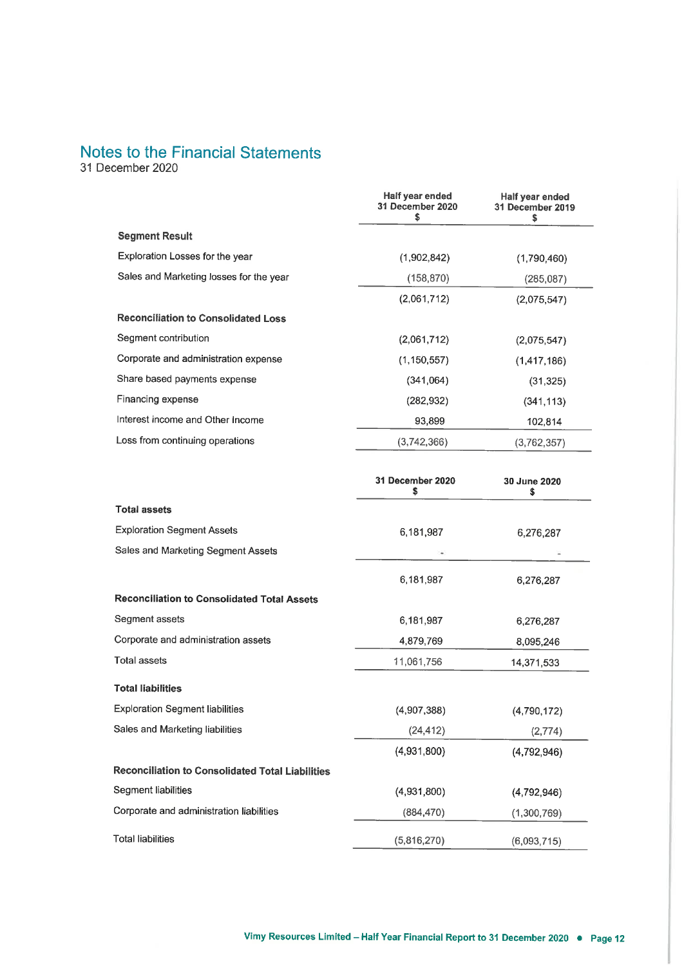31 December 2020

|                                            | Half year ended<br>31 December 2020<br>s | Half year ended<br>31 December 2019 |
|--------------------------------------------|------------------------------------------|-------------------------------------|
| <b>Segment Result</b>                      |                                          |                                     |
| Exploration Losses for the year            | (1,902,842)                              | (1,790,460)                         |
| Sales and Marketing losses for the year    | (158, 870)                               | (285, 087)                          |
|                                            | (2,061,712)                              | (2,075,547)                         |
| <b>Reconciliation to Consolidated Loss</b> |                                          |                                     |
| Segment contribution                       | (2,061,712)                              | (2,075,547)                         |
| Corporate and administration expense       | (1, 150, 557)                            | (1, 417, 186)                       |
| Share based payments expense               | (341,064)                                | (31, 325)                           |
| Financing expense                          | (282, 932)                               | (341, 113)                          |
| Interest income and Other Income           | 93,899                                   | 102,814                             |
| Loss from continuing operations            | (3,742,366)                              | (3,762,357)                         |

|                                                         | 31 December 2020<br>\$ | 30 June 2020<br>\$ |
|---------------------------------------------------------|------------------------|--------------------|
| <b>Total assets</b>                                     |                        |                    |
| <b>Exploration Segment Assets</b>                       | 6,181,987              | 6,276,287          |
| Sales and Marketing Segment Assets                      |                        |                    |
|                                                         | 6,181,987              | 6,276,287          |
| <b>Reconciliation to Consolidated Total Assets</b>      |                        |                    |
| Segment assets                                          | 6,181,987              | 6,276,287          |
| Corporate and administration assets                     | 4,879,769              | 8,095,246          |
| <b>Total assets</b>                                     | 11,061,756             | 14,371,533         |
| <b>Total liabilities</b>                                |                        |                    |
| <b>Exploration Segment liabilities</b>                  | (4,907,388)            | (4,790,172)        |
| Sales and Marketing liabilities                         | (24, 412)              | (2,774)            |
|                                                         | (4,931,800)            | (4,792,946)        |
| <b>Reconciliation to Consolidated Total Liabilities</b> |                        |                    |
| Segment liabilities                                     | (4,931,800)            | (4,792,946)        |
| Corporate and administration liabilities                | (884, 470)             | (1,300,769)        |
| <b>Total liabilities</b>                                | (5,816,270)            | (6,093,715)        |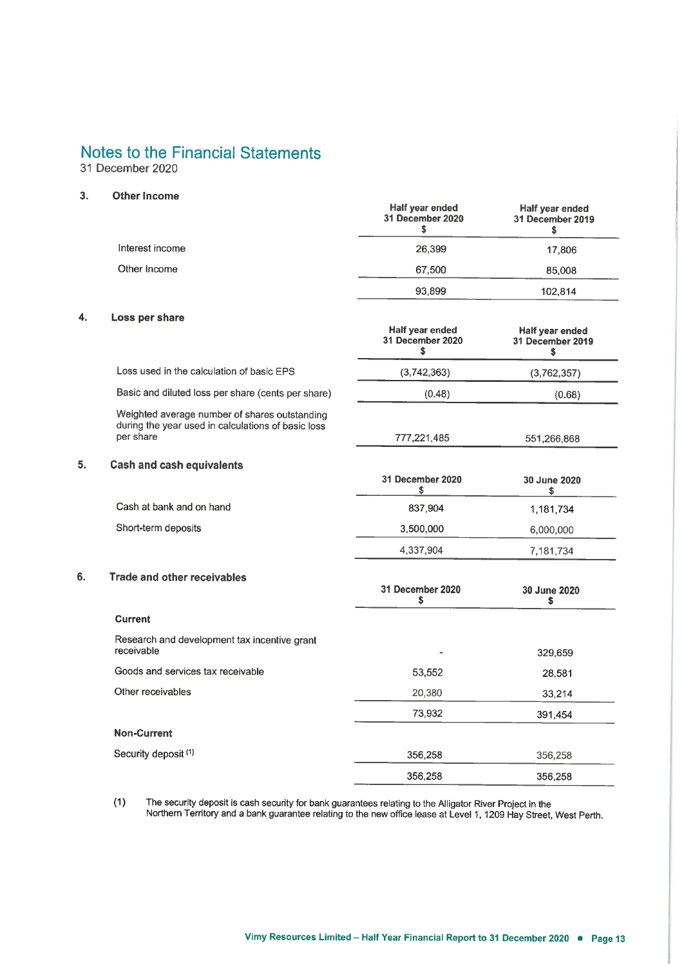31 December 2020

#### $3.$ Other Income

 $\overline{4}$ .

5.

 $6.$ 

|                                                                                                                  | Half year ended<br>31 December 2020<br>\$ | Half year ended<br>31 December 2019<br>\$ |
|------------------------------------------------------------------------------------------------------------------|-------------------------------------------|-------------------------------------------|
| Interest income                                                                                                  | 26,399                                    | 17,806                                    |
| Other Income                                                                                                     | 67,500                                    | 85,008                                    |
|                                                                                                                  | 93,899                                    | 102,814                                   |
| Loss per share                                                                                                   |                                           |                                           |
|                                                                                                                  | Half year ended<br>31 December 2020<br>\$ | Half year ended<br>31 December 2019<br>Ŝ. |
| Loss used in the calculation of basic EPS                                                                        | (3,742,363)                               | (3,762,357)                               |
| Basic and diluted loss per share (cents per share)                                                               | (0.48)                                    | (0.68)                                    |
| Weighted average number of shares outstanding<br>during the year used in calculations of basic loss<br>per share | 777,221,485                               | 551,266,868                               |
|                                                                                                                  |                                           |                                           |
| <b>Cash and cash equivalents</b>                                                                                 | 31 December 2020<br>\$                    | 30 June 2020<br>\$                        |
| Cash at bank and on hand                                                                                         | 837,904                                   | 1,181,734                                 |
| Short-term deposits                                                                                              | 3,500,000                                 | 6,000,000                                 |
|                                                                                                                  | 4,337,904                                 | 7,181,734                                 |
| <b>Trade and other receivables</b>                                                                               | 31 December 2020<br>s                     | 30 June 2020<br>\$                        |
| <b>Current</b>                                                                                                   |                                           |                                           |
| Research and development tax incentive grant<br>receivable                                                       |                                           | 329,659                                   |
| Goods and services tax receivable                                                                                | 53,552                                    | 28,581                                    |
| Other receivables                                                                                                | 20,380                                    | 33,214                                    |
|                                                                                                                  | 73,932                                    | 391,454                                   |
| <b>Non-Current</b>                                                                                               |                                           |                                           |
| Security deposit (1)                                                                                             | 356,258                                   | 356,258                                   |
|                                                                                                                  | 356,258                                   | 356,258                                   |

The security deposit is cash security for bank guarantees relating to the Alligator River Project in the<br>Northern Territory and a bank guarantee relating to the new office lease at Level 1, 1209 Hay Street, West Perth.  $(1)$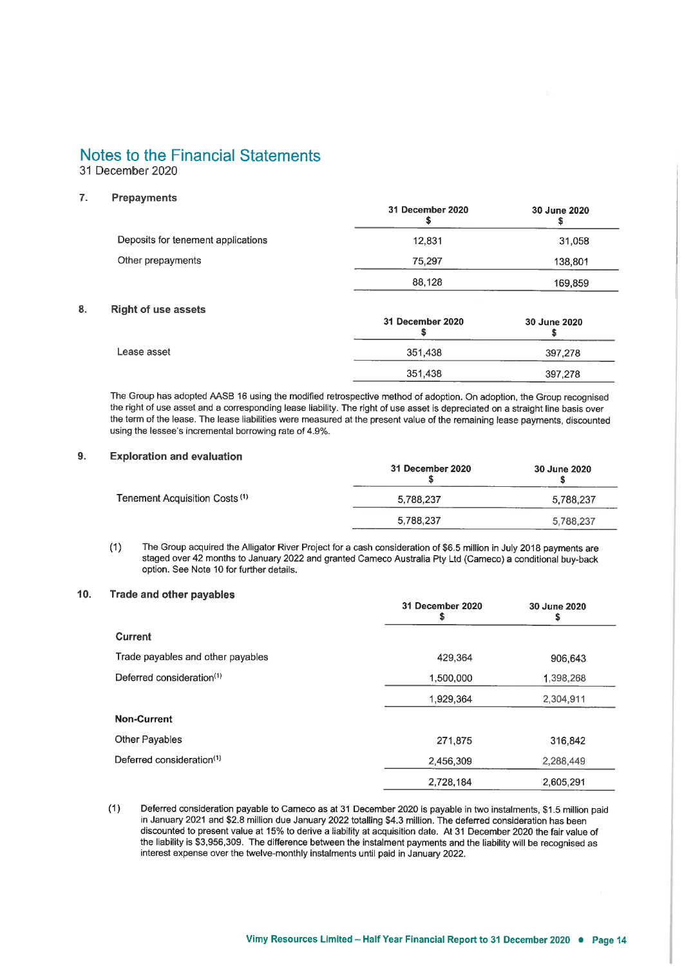31 December 2020

#### $\overline{7}$ . **Prepayments**

8.

|                                    | 31 December 2020 | 30 June 2020 |
|------------------------------------|------------------|--------------|
| Deposits for tenement applications | 12,831           | 31,058       |
| Other prepayments                  | 75,297           | 138,801      |
|                                    | 88,128           | 169,859      |
| <b>Right of use assets</b>         | 31 December 2020 | 30 June 2020 |
| Lease asset                        | 351,438          | 397,278      |
|                                    | 351,438          | 397,278      |

The Group has adopted AASB 16 using the modified retrospective method of adoption. On adoption, the Group recognised the right of use asset and a corresponding lease liability. The right of use asset is depreciated on a straight line basis over the term of the lease. The lease liabilities were measured at the present value of the remaining lease payments, discounted using the lessee's incremental borrowing rate of 4.9%.

#### $9.$ **Exploration and evaluation**

|                                           | 31 December 2020 | 30 June 2020 |
|-------------------------------------------|------------------|--------------|
| Tenement Acquisition Costs <sup>(1)</sup> | 5.788.237        | 5,788,237    |
|                                           | 5,788,237        | 5,788,237    |

The Group acquired the Alligator River Project for a cash consideration of \$6.5 million in July 2018 payments are  $(1)$ staged over 42 months to January 2022 and granted Cameco Australia Pty Ltd (Cameco) a conditional buy-back option. See Note 10 for further details.

#### $10.$ Trade and other payables

|                                       | 31 December 2020<br>S | 30 June 2020<br>\$ |
|---------------------------------------|-----------------------|--------------------|
| Current                               |                       |                    |
| Trade payables and other payables     | 429,364               | 906.643            |
| Deferred consideration <sup>(1)</sup> | 1,500,000             | 1,398,268          |
|                                       | 1,929,364             | 2,304,911          |
| <b>Non-Current</b>                    |                       |                    |
| <b>Other Payables</b>                 | 271.875               | 316,842            |
| Deferred consideration <sup>(1)</sup> | 2,456,309             | 2,288,449          |
|                                       | 2,728,184             | 2,605,291          |

Deferred consideration payable to Cameco as at 31 December 2020 is payable in two instalments, \$1.5 million paid  $(1)$ in January 2021 and \$2.8 million due January 2022 totalling \$4.3 million. The deferred consideration has been discounted to present value at 15% to derive a liability at acquisition date. At 31 December 2020 the fair value of the liability is \$3,956,309. The difference between the instalment payments and the liability will be recognised as interest expense over the twelve-monthly instalments until paid in January 2022.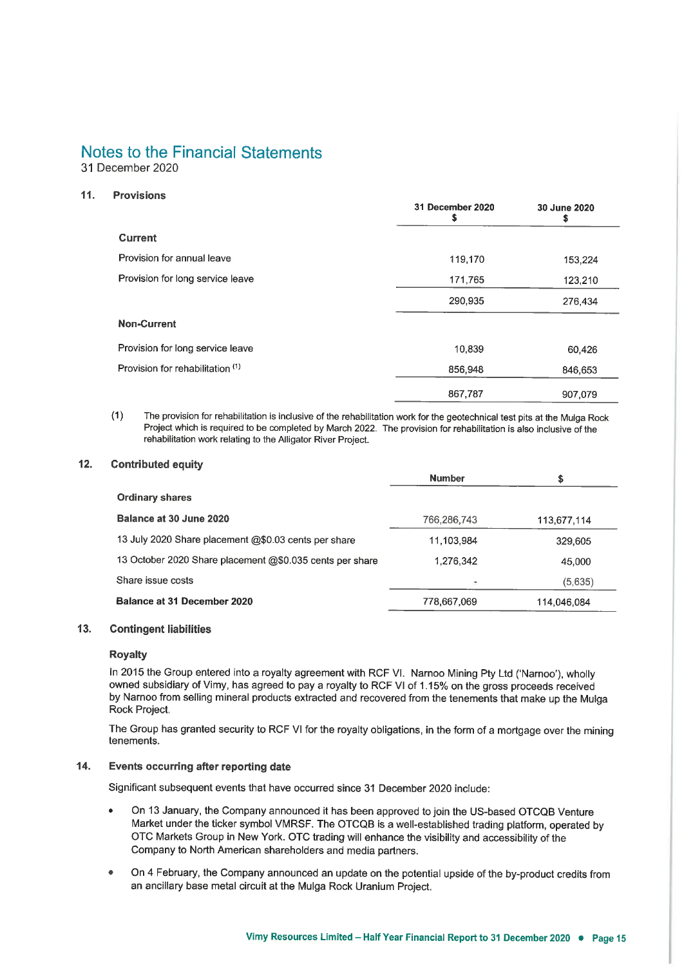31 December 2020

#### $11.$ **Provisions**

|                                  | <b>31 December 2020</b> | <b>30 June 2020</b> |
|----------------------------------|-------------------------|---------------------|
| <b>Current</b>                   |                         |                     |
| Provision for annual leave       | 119,170                 | 153,224             |
| Provision for long service leave | 171,765                 | 123,210             |
|                                  | 290,935                 | 276,434             |
| <b>Non-Current</b>               |                         |                     |
| Provision for long service leave | 10,839                  | 60,426              |
| Provision for rehabilitation (1) | 856,948                 | 846,653             |
|                                  | 867,787                 | 907,079             |

The provision for rehabilitation is inclusive of the rehabilitation work for the geotechnical test pits at the Mulga Rock  $(1)$ Project which is required to be completed by March 2022. The provision for rehabilitation is also inclusive of the rehabilitation work relating to the Alligator River Project.

#### $12.$ **Contributed equity**

|                                                          | <b>Number</b> | \$          |
|----------------------------------------------------------|---------------|-------------|
| <b>Ordinary shares</b>                                   |               |             |
| Balance at 30 June 2020                                  | 766,286,743   | 113,677,114 |
| 13 July 2020 Share placement @\$0.03 cents per share     | 11,103,984    | 329,605     |
| 13 October 2020 Share placement @\$0.035 cents per share | 1,276,342     | 45,000      |
| Share issue costs                                        | ٠             | (5,635)     |
| Balance at 31 December 2020                              | 778,667,069   | 114,046,084 |

#### $13.$ **Contingent liabilities**

#### **Royalty**

In 2015 the Group entered into a royalty agreement with RCF VI. Narnoo Mining Pty Ltd ('Narnoo'), wholly owned subsidiary of Vimy, has agreed to pay a royalty to RCF VI of 1.15% on the gross proceeds received by Narnoo from selling mineral products extracted and recovered from the tenements that make up the Mulga Rock Project.

The Group has granted security to RCF VI for the royalty obligations, in the form of a mortgage over the mining tenements.

#### $14.$ Events occurring after reporting date

Significant subsequent events that have occurred since 31 December 2020 include:

- On 13 January, the Company announced it has been approved to join the US-based OTCQB Venture Market under the ticker symbol VMRSF. The OTCQB is a well-established trading platform, operated by OTC Markets Group in New York. OTC trading will enhance the visibility and accessibility of the Company to North American shareholders and media partners.
- On 4 February, the Company announced an update on the potential upside of the by-product credits from an ancillary base metal circuit at the Mulga Rock Uranium Project.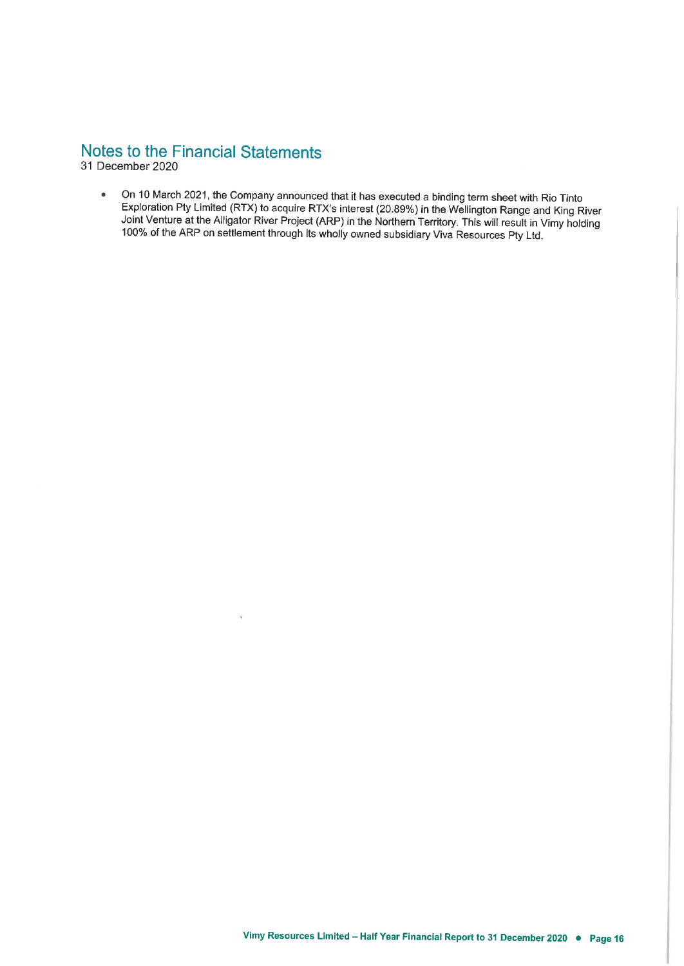31 December 2020

On 10 March 2021, the Company announced that it has executed a binding term sheet with Rio Tinto  $\bullet$ Exploration Pty Limited (RTX) to acquire RTX's interest (20.89%) in the Wellington Range and King River Joint Venture at the Alligator River Project (ARP) in the Northern Territory. This will result in Vimy holding 100% of the ARP on settlement through its wholly owned subsidiary Viva Resources Pty Ltd.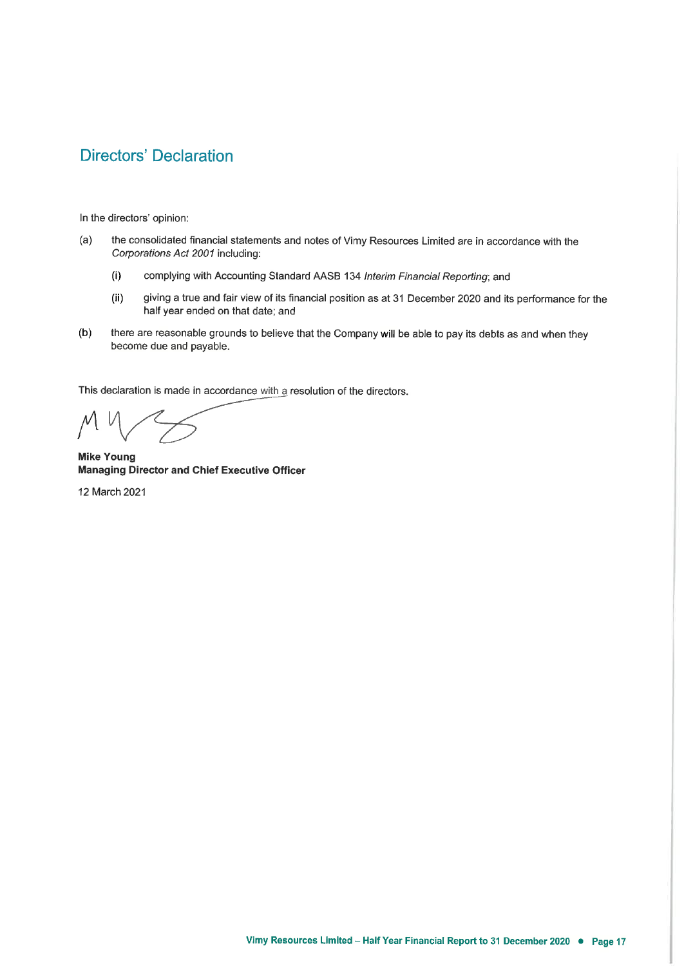# **Directors' Declaration**

In the directors' opinion:

- the consolidated financial statements and notes of Vimy Resources Limited are in accordance with the  $(a)$ Corporations Act 2001 including:
	- $(i)$ complying with Accounting Standard AASB 134 Interim Financial Reporting; and
	- $(ii)$ giving a true and fair view of its financial position as at 31 December 2020 and its performance for the half year ended on that date; and
- $(b)$ there are reasonable grounds to believe that the Company will be able to pay its debts as and when they become due and payable.

This declaration is made in accordance with a resolution of the directors.

**Mike Young Managing Director and Chief Executive Officer** 

12 March 2021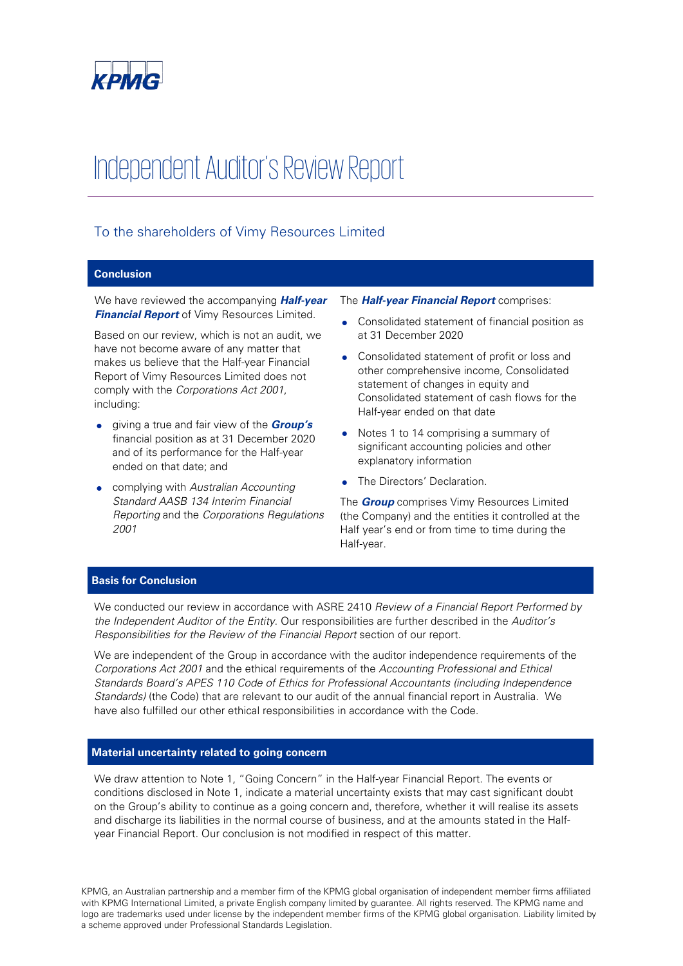

# Independent Auditor's Review Report

## To the shareholders of Vimy Resources Limited

### **Conclusion**

We have reviewed the accompanying **Half-year Financial Report** of Vimy Resources Limited.

Based on our review, which is not an audit, we have not become aware of any matter that makes us believe that the Half-year Financial Report of Vimy Resources Limited does not comply with the Corporations Act 2001, including:

- giving a true and fair view of the **Group's** financial position as at 31 December 2020 and of its performance for the Half-year ended on that date; and
- complying with Australian Accounting Standard AASB 134 Interim Financial Reporting and the Corporations Regulations 2001

#### The **Half-year Financial Report** comprises:

- Consolidated statement of financial position as at 31 December 2020
- Consolidated statement of profit or loss and other comprehensive income, Consolidated statement of changes in equity and Consolidated statement of cash flows for the Half-year ended on that date
- Notes 1 to 14 comprising a summary of significant accounting policies and other explanatory information
- The Directors' Declaration.

The **Group** comprises Vimy Resources Limited (the Company) and the entities it controlled at the Half year's end or from time to time during the Half-year.

### **Basis for Conclusion**

We conducted our review in accordance with ASRE 2410 Review of a Financial Report Performed by the Independent Auditor of the Entity. Our responsibilities are further described in the Auditor's Responsibilities for the Review of the Financial Report section of our report.

We are independent of the Group in accordance with the auditor independence requirements of the Corporations Act 2001 and the ethical requirements of the Accounting Professional and Ethical Standards Board's APES 110 Code of Ethics for Professional Accountants (including Independence Standards) (the Code) that are relevant to our audit of the annual financial report in Australia. We have also fulfilled our other ethical responsibilities in accordance with the Code.

#### **Material uncertainty related to going concern**

We draw attention to Note 1, "Going Concern" in the Half-year Financial Report. The events or conditions disclosed in Note 1, indicate a material uncertainty exists that may cast significant doubt on the Group's ability to continue as a going concern and, therefore, whether it will realise its assets and discharge its liabilities in the normal course of business, and at the amounts stated in the Halfyear Financial Report. Our conclusion is not modified in respect of this matter.

KPMG, an Australian partnership and a member firm of the KPMG global organisation of independent member firms affiliated with KPMG International Limited, a private English company limited by guarantee. All rights reserved. The KPMG name and logo are trademarks used under license by the independent member firms of the KPMG global organisation. Liability limited by a scheme approved under Professional Standards Legislation.